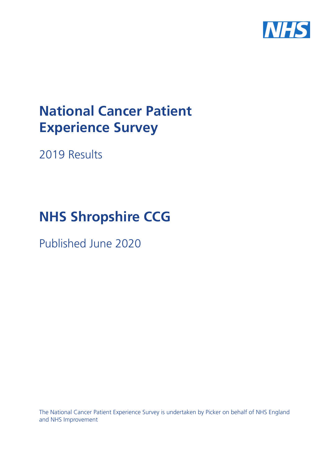

# **National Cancer Patient Experience Survey**

2019 Results

# **NHS Shropshire CCG**

Published June 2020

The National Cancer Patient Experience Survey is undertaken by Picker on behalf of NHS England and NHS Improvement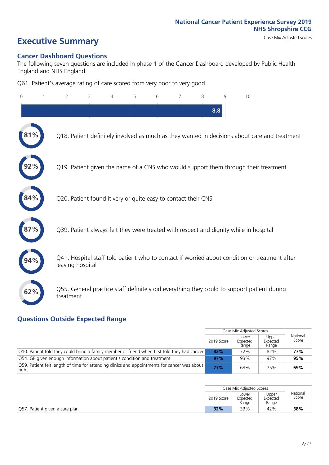# **Executive Summary** Case Mix Adjusted scores

### **Cancer Dashboard Questions**

The following seven questions are included in phase 1 of the Cancer Dashboard developed by Public Health England and NHS England:

Q61. Patient's average rating of care scored from very poor to very good

| $\Omega$ | $\overline{2}$                                                | 3 | 5 | 6 | 7 | 8 | 9   | 10                                                                                            |  |
|----------|---------------------------------------------------------------|---|---|---|---|---|-----|-----------------------------------------------------------------------------------------------|--|
|          |                                                               |   |   |   |   |   | 8.8 |                                                                                               |  |
|          |                                                               |   |   |   |   |   |     | Q18. Patient definitely involved as much as they wanted in decisions about care and treatment |  |
|          |                                                               |   |   |   |   |   |     | Q19. Patient given the name of a CNS who would support them through their treatment           |  |
| 84%      | Q20. Patient found it very or quite easy to contact their CNS |   |   |   |   |   |     |                                                                                               |  |
|          |                                                               |   |   |   |   |   |     | Q39. Patient always felt they were treated with respect and dignity while in hospital         |  |
|          | leaving hospital                                              |   |   |   |   |   |     | Q41. Hospital staff told patient who to contact if worried about condition or treatment after |  |
| 62%      | treatment                                                     |   |   |   |   |   |     | Q55. General practice staff definitely did everything they could to support patient during    |  |

### **Questions Outside Expected Range**

|                                                                                                                 |            | Case Mix Adjusted Scores   |                            |                   |
|-----------------------------------------------------------------------------------------------------------------|------------|----------------------------|----------------------------|-------------------|
|                                                                                                                 | 2019 Score | Lower<br>Expected<br>Range | Upper<br>Expected<br>Range | National<br>Score |
| Q10. Patient told they could bring a family member or friend when first told they had cancer                    | 82%        | 72%                        | 82%                        | 77%               |
| Q54. GP given enough information about patient's condition and treatment                                        | 97%        | 93%                        | 97%                        | 95%               |
| $\sqrt{Q59}$ . Patient felt length of time for attending clinics and appointments for cancer was about<br>right | 77%        | 63%                        | 75%                        | 69%               |

|                                |            | Case Mix Adjusted Scores   |                            |                   |
|--------------------------------|------------|----------------------------|----------------------------|-------------------|
|                                | 2019 Score | Lower<br>Expected<br>Range | Upper<br>Expected<br>Range | National<br>Score |
| Q57. Patient given a care plan | 32%        | 33%                        | 42%                        | 38%               |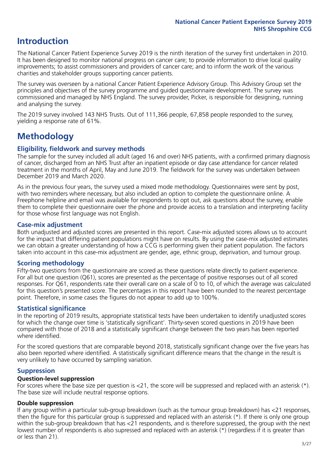### **Introduction**

The National Cancer Patient Experience Survey 2019 is the ninth iteration of the survey first undertaken in 2010. It has been designed to monitor national progress on cancer care; to provide information to drive local quality improvements; to assist commissioners and providers of cancer care; and to inform the work of the various charities and stakeholder groups supporting cancer patients.

The survey was overseen by a national Cancer Patient Experience Advisory Group. This Advisory Group set the principles and objectives of the survey programme and guided questionnaire development. The survey was commissioned and managed by NHS England. The survey provider, Picker, is responsible for designing, running and analysing the survey.

The 2019 survey involved 143 NHS Trusts. Out of 111,366 people, 67,858 people responded to the survey, yielding a response rate of 61%.

### **Methodology**

### **Eligibility, eldwork and survey methods**

The sample for the survey included all adult (aged 16 and over) NHS patients, with a confirmed primary diagnosis of cancer, discharged from an NHS Trust after an inpatient episode or day case attendance for cancer related treatment in the months of April, May and June 2019. The fieldwork for the survey was undertaken between December 2019 and March 2020.

As in the previous four years, the survey used a mixed mode methodology. Questionnaires were sent by post, with two reminders where necessary, but also included an option to complete the questionnaire online. A Freephone helpline and email was available for respondents to opt out, ask questions about the survey, enable them to complete their questionnaire over the phone and provide access to a translation and interpreting facility for those whose first language was not English.

### **Case-mix adjustment**

Both unadjusted and adjusted scores are presented in this report. Case-mix adjusted scores allows us to account for the impact that differing patient populations might have on results. By using the case-mix adjusted estimates we can obtain a greater understanding of how a CCG is performing given their patient population. The factors taken into account in this case-mix adjustment are gender, age, ethnic group, deprivation, and tumour group.

### **Scoring methodology**

Fifty-two questions from the questionnaire are scored as these questions relate directly to patient experience. For all but one question (Q61), scores are presented as the percentage of positive responses out of all scored responses. For Q61, respondents rate their overall care on a scale of 0 to 10, of which the average was calculated for this question's presented score. The percentages in this report have been rounded to the nearest percentage point. Therefore, in some cases the figures do not appear to add up to 100%.

### **Statistical significance**

In the reporting of 2019 results, appropriate statistical tests have been undertaken to identify unadjusted scores for which the change over time is 'statistically significant'. Thirty-seven scored questions in 2019 have been compared with those of 2018 and a statistically significant change between the two years has been reported where identified.

For the scored questions that are comparable beyond 2018, statistically significant change over the five years has also been reported where identified. A statistically significant difference means that the change in the result is very unlikely to have occurred by sampling variation.

### **Suppression**

### **Question-level suppression**

For scores where the base size per question is  $<$ 21, the score will be suppressed and replaced with an asterisk (\*). The base size will include neutral response options.

### **Double suppression**

If any group within a particular sub-group breakdown (such as the tumour group breakdown) has <21 responses, then the figure for this particular group is suppressed and replaced with an asterisk (\*). If there is only one group within the sub-group breakdown that has <21 respondents, and is therefore suppressed, the group with the next lowest number of respondents is also supressed and replaced with an asterisk (\*) (regardless if it is greater than or less than 21).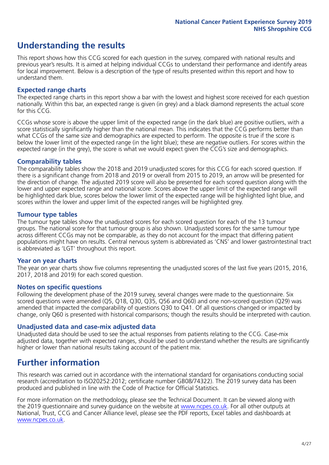### **Understanding the results**

This report shows how this CCG scored for each question in the survey, compared with national results and previous year's results. It is aimed at helping individual CCGs to understand their performance and identify areas for local improvement. Below is a description of the type of results presented within this report and how to understand them.

### **Expected range charts**

The expected range charts in this report show a bar with the lowest and highest score received for each question nationally. Within this bar, an expected range is given (in grey) and a black diamond represents the actual score for this CCG.

CCGs whose score is above the upper limit of the expected range (in the dark blue) are positive outliers, with a score statistically significantly higher than the national mean. This indicates that the CCG performs better than what CCGs of the same size and demographics are expected to perform. The opposite is true if the score is below the lower limit of the expected range (in the light blue); these are negative outliers. For scores within the expected range (in the grey), the score is what we would expect given the CCG's size and demographics.

### **Comparability tables**

The comparability tables show the 2018 and 2019 unadjusted scores for this CCG for each scored question. If there is a significant change from 2018 and 2019 or overall from 2015 to 2019, an arrow will be presented for the direction of change. The adjusted 2019 score will also be presented for each scored question along with the lower and upper expected range and national score. Scores above the upper limit of the expected range will be highlighted dark blue, scores below the lower limit of the expected range will be highlighted light blue, and scores within the lower and upper limit of the expected ranges will be highlighted grey.

### **Tumour type tables**

The tumour type tables show the unadjusted scores for each scored question for each of the 13 tumour groups. The national score for that tumour group is also shown. Unadjusted scores for the same tumour type across different CCGs may not be comparable, as they do not account for the impact that differing patient populations might have on results. Central nervous system is abbreviated as 'CNS' and lower gastrointestinal tract is abbreviated as 'LGT' throughout this report.

### **Year on year charts**

The year on year charts show five columns representing the unadjusted scores of the last five years (2015, 2016, 2017, 2018 and 2019) for each scored question.

#### **Notes on specific questions**

Following the development phase of the 2019 survey, several changes were made to the questionnaire. Six scored questions were amended (Q5, Q18, Q30, Q35, Q56 and Q60) and one non-scored question (Q29) was amended that impacted the comparability of questions Q30 to Q41. Of all questions changed or impacted by change, only Q60 is presented with historical comparisons; though the results should be interpreted with caution.

### **Unadjusted data and case-mix adjusted data**

Unadjusted data should be used to see the actual responses from patients relating to the CCG. Case-mix adjusted data, together with expected ranges, should be used to understand whether the results are significantly higher or lower than national results taking account of the patient mix.

### **Further information**

This research was carried out in accordance with the international standard for organisations conducting social research (accreditation to ISO20252:2012; certificate number GB08/74322). The 2019 survey data has been produced and published in line with the Code of Practice for Official Statistics.

For more information on the methodology, please see the Technical Document. It can be viewed along with the 2019 questionnaire and survey quidance on the website at [www.ncpes.co.uk](https://www.ncpes.co.uk/supporting-documents). For all other outputs at National, Trust, CCG and Cancer Alliance level, please see the PDF reports, Excel tables and dashboards at [www.ncpes.co.uk.](https://www.ncpes.co.uk/current-results)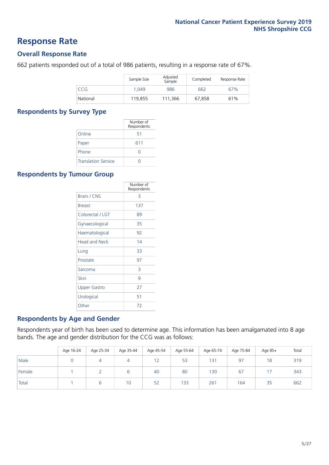### **Response Rate**

### **Overall Response Rate**

662 patients responded out of a total of 986 patients, resulting in a response rate of 67%.

|          | Sample Size | Adjusted<br>Sample | Completed | Response Rate |
|----------|-------------|--------------------|-----------|---------------|
| CCG      | 1.049       | 986                | 662       | 67%           |
| National | 119,855     | 111.366            | 67,858    | 61%           |

### **Respondents by Survey Type**

|                            | Number of<br>Respondents |
|----------------------------|--------------------------|
| Online                     | 51                       |
| Paper                      | 611                      |
| Phone                      |                          |
| <b>Translation Service</b> |                          |

### **Respondents by Tumour Group**

|                      | Number of<br>Respondents |
|----------------------|--------------------------|
| Brain / CNS          | 3                        |
| <b>Breast</b>        | 137                      |
| Colorectal / LGT     | 89                       |
| Gynaecological       | 35                       |
| Haematological       | 92                       |
| <b>Head and Neck</b> | 14                       |
| Lung                 | 33                       |
| Prostate             | 97                       |
| Sarcoma              | 3                        |
| Skin                 | 9                        |
| Upper Gastro         | 27                       |
| Urological           | 51                       |
| Other                | 72                       |

### **Respondents by Age and Gender**

Respondents year of birth has been used to determine age. This information has been amalgamated into 8 age bands. The age and gender distribution for the CCG was as follows:

|        | Age 16-24 | Age 25-34 | Age 35-44 | Age 45-54 | Age 55-64 | Age 65-74 | Age 75-84 | Age 85+ | Total |
|--------|-----------|-----------|-----------|-----------|-----------|-----------|-----------|---------|-------|
| Male   |           |           |           | 12        | 53        | 131       | 97        | 18      | 319   |
| Female |           |           | b         | 40        | 80        | 130       | 67        | 17      | 343   |
| Total  |           |           | 10        | 52        | 133       | 261       | 164       | 35      | 662   |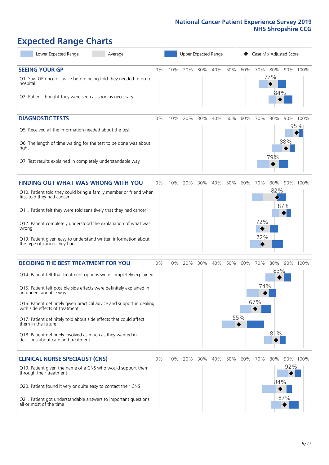# **Expected Range Charts**

| Lower Expected Range<br>Average                                                                                                                                                                                                                                                                                                                                                                                                                                                                                             | Upper Expected Range<br>Case Mix Adjusted Score |     |     |     |     |     |            |                   |                   |            |                 |
|-----------------------------------------------------------------------------------------------------------------------------------------------------------------------------------------------------------------------------------------------------------------------------------------------------------------------------------------------------------------------------------------------------------------------------------------------------------------------------------------------------------------------------|-------------------------------------------------|-----|-----|-----|-----|-----|------------|-------------------|-------------------|------------|-----------------|
| <b>SEEING YOUR GP</b><br>Q1. Saw GP once or twice before being told they needed to go to<br>hospital<br>Q2. Patient thought they were seen as soon as necessary                                                                                                                                                                                                                                                                                                                                                             | 0%                                              | 10% | 20% | 30% | 40% | 50% | 60%        | 70% 80%           | 77%<br>84%        |            | 90% 100%        |
| <b>DIAGNOSTIC TESTS</b><br>Q5. Received all the information needed about the test<br>Q6. The length of time waiting for the test to be done was about<br>right<br>Q7. Test results explained in completely understandable way                                                                                                                                                                                                                                                                                               | 0%                                              | 10% | 20% | 30% | 40% | 50% | 60%        | 70%               | 80%<br>79%        | 88%        | 90% 100%<br>95% |
| <b>FINDING OUT WHAT WAS WRONG WITH YOU</b><br>Q10. Patient told they could bring a family member or friend when<br>first told they had cancer<br>Q11. Patient felt they were told sensitively that they had cancer<br>Q12. Patient completely understood the explanation of what was<br>wrong<br>Q13. Patient given easy to understand written information about<br>the type of cancer they had                                                                                                                             | 0%                                              | 10% | 20% | 30% | 40% | 50% | 60%        | 70%<br>72%<br>72% | 80%<br>82%        | 87%        | 90% 100%        |
| <b>DECIDING THE BEST TREATMENT FOR YOU</b><br>Q14. Patient felt that treatment options were completely explained<br>Q15. Patient felt possible side effects were definitely explained in<br>an understandable way<br>Q16. Patient definitely given practical advice and support in dealing<br>with side effects of treatment<br>Q17. Patient definitely told about side effects that could affect<br>them in the future<br>Q18. Patient definitely involved as much as they wanted in<br>decisions about care and treatment | 0%                                              | 10% | 20% | 30% | 40% | 50% | 60%<br>55% | 70%<br>74%<br>67% | 80%<br>83%<br>81% |            | 90% 100%        |
| <b>CLINICAL NURSE SPECIALIST (CNS)</b><br>Q19. Patient given the name of a CNS who would support them<br>through their treatment<br>Q20. Patient found it very or quite easy to contact their CNS<br>Q21. Patient got understandable answers to important questions<br>all or most of the time                                                                                                                                                                                                                              | 0%                                              | 10% | 20% | 30% | 40% | 50% | 60%        | 70%               | 80%<br>84%        | 92%<br>87% | 90% 100%        |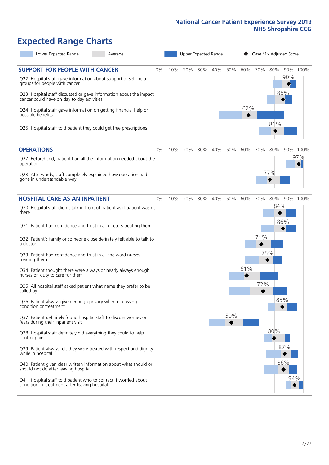# **Expected Range Charts**

| Lower Expected Range<br>Average                                                                                                                                                                                                                                                                                                                                                                                                                                                                                                                                                                                                                                                                                                                                                                                                                                                                                                                                                                                                                                                                                                                                                   |       |     |     |     | Upper Expected Range |            |            |                   | Case Mix Adjusted Score         |                          |                 |
|-----------------------------------------------------------------------------------------------------------------------------------------------------------------------------------------------------------------------------------------------------------------------------------------------------------------------------------------------------------------------------------------------------------------------------------------------------------------------------------------------------------------------------------------------------------------------------------------------------------------------------------------------------------------------------------------------------------------------------------------------------------------------------------------------------------------------------------------------------------------------------------------------------------------------------------------------------------------------------------------------------------------------------------------------------------------------------------------------------------------------------------------------------------------------------------|-------|-----|-----|-----|----------------------|------------|------------|-------------------|---------------------------------|--------------------------|-----------------|
| <b>SUPPORT FOR PEOPLE WITH CANCER</b><br>Q22. Hospital staff gave information about support or self-help<br>groups for people with cancer<br>Q23. Hospital staff discussed or gave information about the impact<br>cancer could have on day to day activities<br>Q24. Hospital staff gave information on getting financial help or<br>possible benefits<br>Q25. Hospital staff told patient they could get free prescriptions                                                                                                                                                                                                                                                                                                                                                                                                                                                                                                                                                                                                                                                                                                                                                     | $0\%$ | 10% | 20% | 30% | 40%                  | 50%        | 60%<br>62% | 70%               | 80%<br>81%                      | 90%<br>86%               | 90% 100%        |
| <b>OPERATIONS</b><br>Q27. Beforehand, patient had all the information needed about the<br>operation<br>Q28. Afterwards, staff completely explained how operation had<br>gone in understandable way                                                                                                                                                                                                                                                                                                                                                                                                                                                                                                                                                                                                                                                                                                                                                                                                                                                                                                                                                                                | $0\%$ | 10% | 20% | 30% | 40%                  | 50%        | 60%        | 70%               | 80%<br>77%                      |                          | 90% 100%<br>97% |
| <b>HOSPITAL CARE AS AN INPATIENT</b><br>Q30. Hospital staff didn't talk in front of patient as if patient wasn't<br>there<br>Q31. Patient had confidence and trust in all doctors treating them<br>Q32. Patient's family or someone close definitely felt able to talk to<br>a doctor<br>Q33. Patient had confidence and trust in all the ward nurses<br>treating them<br>Q34. Patient thought there were always or nearly always enough<br>nurses on duty to care for them<br>Q35. All hospital staff asked patient what name they prefer to be<br>called by<br>Q36. Patient always given enough privacy when discussing<br>condition or treatment<br>Q37. Patient definitely found hospital staff to discuss worries or<br>fears during their inpatient visit<br>Q38. Hospital staff definitely did everything they could to help<br>control pain<br>Q39. Patient always felt they were treated with respect and dignity<br>while in hospital<br>Q40. Patient given clear written information about what should or<br>should not do after leaving hospital<br>Q41. Hospital staff told patient who to contact if worried about<br>condition or treatment after leaving hospital | $0\%$ | 10% | 20% | 30% | 40%                  | 50%<br>50% | 60%<br>61% | 70%<br>71%<br>72% | 80%<br>84%<br>75%<br>85%<br>80% | 86%<br>87%<br>86%<br>94% | 90% 100%        |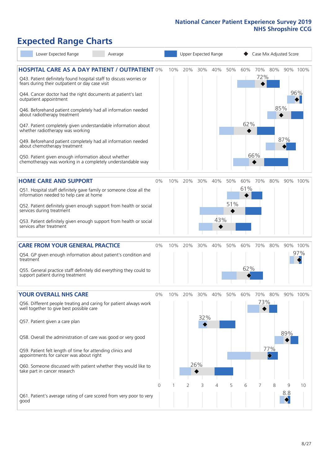# **Expected Range Charts**

| Lower Expected Range<br>Average                                                                                                                                                                                                                                                                                                                                                                                                                                                                                                                                                                                                                                                                        |       |     | Upper Expected Range |                   |            |            |            |                   | Case Mix Adjusted Score    |          |                 |
|--------------------------------------------------------------------------------------------------------------------------------------------------------------------------------------------------------------------------------------------------------------------------------------------------------------------------------------------------------------------------------------------------------------------------------------------------------------------------------------------------------------------------------------------------------------------------------------------------------------------------------------------------------------------------------------------------------|-------|-----|----------------------|-------------------|------------|------------|------------|-------------------|----------------------------|----------|-----------------|
| <b>HOSPITAL CARE AS A DAY PATIENT / OUTPATIENT 0%</b><br>Q43. Patient definitely found hospital staff to discuss worries or<br>fears during their outpatient or day case visit<br>Q44. Cancer doctor had the right documents at patient's last<br>outpatient appointment<br>Q46. Beforehand patient completely had all information needed<br>about radiotherapy treatment<br>Q47. Patient completely given understandable information about<br>whether radiotherapy was working<br>Q49. Beforehand patient completely had all information needed<br>about chemotherapy treatment<br>Q50. Patient given enough information about whether<br>chemotherapy was working in a completely understandable way |       | 10% | 20%                  | 30%               | 40%        | 50%        | 60%<br>62% | 70%<br>72%<br>66% | 80%<br>$\mathbb{R}$<br>85% | 87%      | 90% 100%<br>96% |
| <b>HOME CARE AND SUPPORT</b><br>Q51. Hospital staff definitely gave family or someone close all the<br>information needed to help care at home<br>Q52. Patient definitely given enough support from health or social<br>services during treatment<br>Q53. Patient definitely given enough support from health or social<br>services after treatment                                                                                                                                                                                                                                                                                                                                                    | 0%    | 10% | 20%                  | 30%               | 40%<br>43% | 50%<br>51% | 60%<br>61% | 70%               | 80%                        |          | 90% 100%        |
| <b>CARE FROM YOUR GENERAL PRACTICE</b><br>Q54. GP given enough information about patient's condition and<br>treatment<br>Q55. General practice staff definitely did everything they could to<br>support patient during treatment                                                                                                                                                                                                                                                                                                                                                                                                                                                                       | 0%    | 10% | 20%                  | 30%               | 40%        | 50%        | 60%<br>62% | 70%               | 80%                        |          | 90% 100%<br>97% |
| <b>YOUR OVERALL NHS CARE</b><br>Q56. Different people treating and caring for patient always work<br>well together to give best possible care<br>Q57. Patient given a care plan<br>Q58. Overall the administration of care was good or very good<br>Q59. Patient felt length of time for attending clinics and<br>appointments for cancer was about right<br>Q60. Someone discussed with patient whether they would like to<br>take part in cancer research                                                                                                                                                                                                                                            | $0\%$ | 10% | 20%                  | 30%<br>32%<br>26% | 40%        | 50%        | 60%        | 70%<br>73%        | 80%<br>77%                 | 89%      | 90% 100%        |
| Q61. Patient's average rating of care scored from very poor to very<br>good                                                                                                                                                                                                                                                                                                                                                                                                                                                                                                                                                                                                                            | 0     |     | 2                    | 3                 | 4          | 5          | 6          |                   | 8                          | 9<br>8.8 | 10              |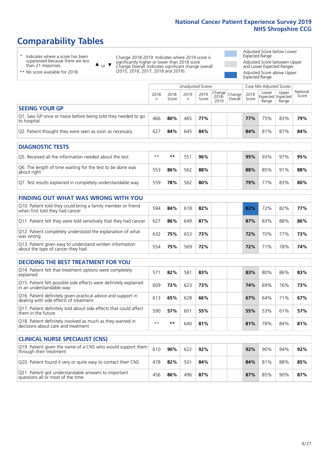## **Comparability Tables**

\* Indicates where a score has been suppressed because there are less than 21 responses.

\*\* No score available for 2018.

 $\triangle$  or  $\nabla$ 

Change 2018-2019: Indicates where 2019 score is significantly higher or lower than 2018 score Change Overall: Indicates significant change overall (2015, 2016, 2017, 2018 and 2019).

Adjusted Score below Lower Expected Range Adjusted Score between Upper and Lower Expected Ranges Adjusted Score above Upper Expected Range

|                                                                             |           |               | Unadjusted Scores |               |                                             |         |               | Case Mix Adjusted Scores |                                     |                   |
|-----------------------------------------------------------------------------|-----------|---------------|-------------------|---------------|---------------------------------------------|---------|---------------|--------------------------|-------------------------------------|-------------------|
|                                                                             | 2018<br>n | 2018<br>Score | 2019<br>n         | 2019<br>Score | $\sim$   Change   Change  <br>2018-<br>2019 | Overall | 2019<br>Score | Lower<br>Range           | Upper<br>Expected Expected<br>Range | National<br>Score |
| <b>SEEING YOUR GP</b>                                                       |           |               |                   |               |                                             |         |               |                          |                                     |                   |
| Q1. Saw GP once or twice before being told they needed to go<br>to hospital | 466       | 80%           | 465               | 77%           |                                             |         | <b>77%</b>    | 75%                      | 83%                                 | 79%               |
| Q2. Patient thought they were seen as soon as necessary                     | 627       | 84%           | 645               | 84%           |                                             |         | 84%           | 81%                      | 87%                                 | 84%               |
| <b>DIAGNOSTIC TESTS</b>                                                     |           |               |                   |               |                                             |         |               |                          |                                     |                   |

| <b>PIASIVOJIJE I LJIJ</b>                                                 |      |     |     |     |  |     |     |     |     |
|---------------------------------------------------------------------------|------|-----|-----|-----|--|-----|-----|-----|-----|
| O5. Received all the information needed about the test                    | $**$ | **  |     | 96% |  | 95% | 93% | 97% | 95% |
| Q6. The length of time waiting for the test to be done was<br>about right | 553  | 86% | 562 | 88% |  | 88% | 85% | 91% | 88% |
| Q7. Test results explained in completely understandable way               | 559  | 78% | 562 | 80% |  | 79% | 77% | 83% | 80% |

| <b>FINDING OUT WHAT WAS WRONG WITH YOU</b>                                                      |     |     |     |     |     |     |     |     |
|-------------------------------------------------------------------------------------------------|-----|-----|-----|-----|-----|-----|-----|-----|
| Q10. Patient told they could bring a family member or friend<br>when first told they had cancer | 594 | 84% | 618 | 82% | 82% | 72% | 82% | 77% |
| Q11. Patient felt they were told sensitively that they had cancer                               | 627 | 86% | 649 | 87% | 87% | 83% | 88% | 86% |
| Q12. Patient completely understood the explanation of what<br>was wrong                         | 632 | 75% | 653 | 73% | 72% | 70% | 77% | 73% |
| Q13. Patient given easy to understand written information<br>about the type of cancer they had  | 554 | 75% | 569 | 72% | 72% | 71% | 78% | 74% |

| <b>DECIDING THE BEST TREATMENT FOR YOU</b>                                                              |      |     |     |     |  |     |     |     |     |
|---------------------------------------------------------------------------------------------------------|------|-----|-----|-----|--|-----|-----|-----|-----|
| Q14. Patient felt that treatment options were completely<br>explained                                   | 571  | 82% | 581 | 83% |  | 83% | 80% | 86% | 83% |
| Q15. Patient felt possible side effects were definitely explained<br>in an understandable way           | 609  | 72% | 623 | 73% |  | 74% | 69% | 76% | 73% |
| Q16. Patient definitely given practical advice and support in<br>dealing with side effects of treatment | 613  | 65% | 628 | 66% |  | 67% | 64% | 71% | 67% |
| Q17. Patient definitely told about side effects that could affect<br>them in the future                 | 590  | 57% | 601 | 55% |  | 55% | 53% | 61% | 57% |
| Q18. Patient definitely involved as much as they wanted in<br>decisions about care and treatment        | $**$ | **  | 640 | 81% |  | 81% | 78% | 84% | 81% |

| <b>CLINICAL NURSE SPECIALIST (CNS)</b>                                                    |     |     |     |     |  |     |     |     |     |
|-------------------------------------------------------------------------------------------|-----|-----|-----|-----|--|-----|-----|-----|-----|
| Q19. Patient given the name of a CNS who would support them<br>through their treatment    | 610 | 90% | 622 | 92% |  | 92% | 90% | 94% | 92% |
| Q20. Patient found it very or quite easy to contact their CNS                             | 478 | 82% | 501 | 84% |  | 84% | 81% | 88% | 85% |
| Q21. Patient got understandable answers to important<br>questions all or most of the time | 456 | 86% | 496 | 87% |  | 87% | 85% | 90% | 87% |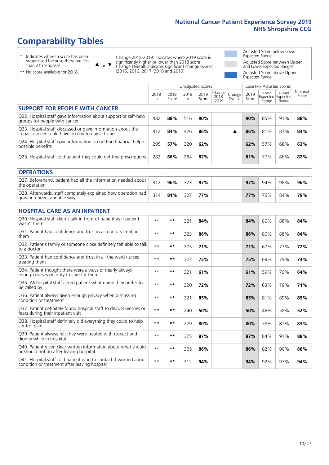### **Comparability Tables**

\* Indicates where a score has been suppressed because there are less than 21 responses.

\*\* No score available for 2018.

 $\triangle$  or  $\nabla$ 

Change 2018-2019: Indicates where 2019 score is significantly higher or lower than 2018 score Change Overall: Indicates significant change overall (2015, 2016, 2017, 2018 and 2019).

Adjusted Score below Lower Expected Range Adjusted Score between Upper and Lower Expected Ranges Adjusted Score above Upper Expected Range

|                                                                                                                   | Unadjusted Scores |               |            |               |                         |                   | Case Mix Adjusted Scores |                                     |                |                   |
|-------------------------------------------------------------------------------------------------------------------|-------------------|---------------|------------|---------------|-------------------------|-------------------|--------------------------|-------------------------------------|----------------|-------------------|
|                                                                                                                   | 2018<br>n         | 2018<br>Score | 2019<br>n. | 2019<br>Score | Change<br>2018-<br>2019 | Change<br>Overall | 2019<br>Score            | Lower<br>Expected Expected<br>Range | Upper<br>Range | National<br>Score |
| <b>SUPPORT FOR PEOPLE WITH CANCER</b>                                                                             |                   |               |            |               |                         |                   |                          |                                     |                |                   |
| Q22. Hospital staff gave information about support or self-help<br>groups for people with cancer                  | 482               | 88%           | 516        | 90%           |                         |                   | 90%                      | 85%                                 | 91%            | 88%               |
| Q23. Hospital staff discussed or gave information about the<br>impact cancer could have on day to day activities  | 412               | 84%           | 426        | 86%           |                         | ▲                 | 86%                      | 81%                                 | 87%            | 84%               |
| Q24. Hospital staff gave information on getting financial help or<br>possible benefits                            | 295               | 57%           | 320        | 62%           |                         |                   | 62%                      | 57%                                 | 68%            | 63%               |
| Q25. Hospital staff told patient they could get free prescriptions                                                | 282               | 86%           | 284        | 82%           |                         |                   | 81%                      | 77%                                 | 86%            | 82%               |
| <b>OPERATIONS</b>                                                                                                 |                   |               |            |               |                         |                   |                          |                                     |                |                   |
| Q27. Beforehand, patient had all the information needed about<br>the operation                                    | 312               | 96%           | 323        | 97%           |                         |                   | 97%                      | 94%                                 | 98%            | 96%               |
| Q28. Afterwards, staff completely explained how operation had<br>gone in understandable way                       | 314               | 81%           | 327        | 77%           |                         |                   | 77%                      | 75%                                 | 84%            | 79%               |
| <b>HOSPITAL CARE AS AN INPATIENT</b>                                                                              |                   |               |            |               |                         |                   |                          |                                     |                |                   |
| Q30. Hospital staff didn't talk in front of patient as if patient<br>wasn't there                                 | $\star\star$      | $***$         | 321        | 84%           |                         |                   | 84%                      | 80%                                 | 88%            | 84%               |
| Q31. Patient had confidence and trust in all doctors treating<br>them                                             | $\star\star$      | $***$         | 323        | 86%           |                         |                   | 86%                      | 80%                                 | 88%            | 84%               |
| Q32. Patient's family or someone close definitely felt able to talk<br>to a doctor                                | $\star\star$      | $***$         | 275        | 71%           |                         |                   | 71%                      | 67%                                 | 77%            | 72%               |
| Q33. Patient had confidence and trust in all the ward nurses<br>treating them                                     | $\star\star$      | $***$         | 323        | 75%           |                         |                   | 75%                      | 69%                                 | 79%            | 74%               |
| Q34. Patient thought there were always or nearly always<br>enough nurses on duty to care for them                 | $**$              | $***$         | 321        | 61%           |                         |                   | 61%                      | 59%                                 | 70%            | 64%               |
| Q35. All hospital staff asked patient what name they prefer to<br>be called by                                    | $\star\star$      | $**$          | 320        | 72%           |                         |                   | 72%                      | 63%                                 | 79%            | 71%               |
| Q36. Patient always given enough privacy when discussing<br>condition or treatment                                | $**$              | **            | 321        | 85%           |                         |                   | 85%                      | 81%                                 | 89%            | 85%               |
| Q37. Patient definitely found hospital staff to discuss worries or<br>fears during their inpatient visit          | $\star\star$      | $***$         | 240        | 50%           |                         |                   | 50%                      | 46%                                 | 58%            | 52%               |
| Q38. Hospital staff definitely did everything they could to help<br>control pain                                  | $\star\star$      | $***$         | 279        | 80%           |                         |                   | 80%                      | 78%                                 | 87%            | 83%               |
| Q39. Patient always felt they were treated with respect and<br>dignity while in hospital                          | $\star\star$      | $***$         | 325        | 87%           |                         |                   | 87%                      | 84%                                 | 91%            | 88%               |
| Q40. Patient given clear written information about what should<br>or should not do after leaving hospital         | $\star\star$      | **            | 305        | 86%           |                         |                   | 86%                      | 82%                                 | 90%            | 86%               |
| Q41. Hospital staff told patient who to contact if worried about<br>condition or treatment after leaving hospital | $\star\star$      | $***$         | 312        | 94%           |                         |                   | 94%                      | 92%                                 | 97%            | 94%               |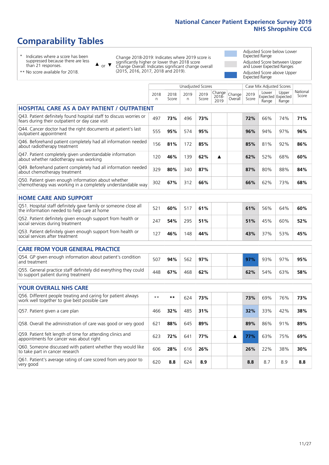Unadjusted Scores **Case Mix Adjusted Scores** 

### **Comparability Tables**

\* Indicates where a score has been suppressed because there are less than 21 responses.

 $\triangle$  or  $\nabla$ 

Change 2018-2019: Indicates where 2019 score is significantly higher or lower than 2018 score Change Overall: Indicates significant change overall (2015, 2016, 2017, 2018 and 2019).

Adjusted Score below Lower Expected Range Adjusted Score between Upper and Lower Expected Ranges Adjusted Score above Upper Expected Range

| ** No score available for 2018. |
|---------------------------------|

|                                                                                                                       | 2018<br>n | 2018<br>Score | 2019<br>n | 2019<br>Score | Change<br>2018-<br>2019 | Change<br>Overall | 2019<br>Score | Lower<br>Range | Upper<br>Expected Expected<br>Range | National<br>Score |
|-----------------------------------------------------------------------------------------------------------------------|-----------|---------------|-----------|---------------|-------------------------|-------------------|---------------|----------------|-------------------------------------|-------------------|
| <b>HOSPITAL CARE AS A DAY PATIENT / OUTPATIENT</b>                                                                    |           |               |           |               |                         |                   |               |                |                                     |                   |
| Q43. Patient definitely found hospital staff to discuss worries or<br>fears during their outpatient or day case visit | 497       | 73%           | 496       | 73%           |                         |                   | 72%           | 66%            | 74%                                 | 71%               |
| Q44. Cancer doctor had the right documents at patient's last<br>outpatient appointment                                | 555       | 95%           | 574       | 95%           |                         |                   | 96%           | 94%            | 97%                                 | 96%               |
| Q46. Beforehand patient completely had all information needed<br>about radiotherapy treatment                         | 156       | 81%           | 172       | 85%           |                         |                   | 85%           | 81%            | 92%                                 | 86%               |
| Q47. Patient completely given understandable information<br>about whether radiotherapy was working                    | 120       | 46%           | 139       | 62%           | ▲                       |                   | 62%           | 52%            | 68%                                 | 60%               |
| Q49. Beforehand patient completely had all information needed<br>about chemotherapy treatment                         | 329       | 80%           | 340       | 87%           |                         |                   | 87%           | 80%            | 88%                                 | 84%               |
| Q50. Patient given enough information about whether<br>chemotherapy was working in a completely understandable way    | 302       | 67%           | 312       | 66%           |                         |                   | 66%           | 62%            | 73%                                 | 68%               |
| <b>HOME CARE AND SUPPORT</b>                                                                                          |           |               |           |               |                         |                   |               |                |                                     |                   |
| Q51. Hospital staff definitely gave family or someone close all<br>the information needed to help care at home        | 521       | 60%           | 517       | 61%           |                         |                   | 61%           | 56%            | 64%                                 | 60%               |
| Q52. Patient definitely given enough support from health or<br>social services during treatment                       | 247       | 54%           | 295       | 51%           |                         |                   | 51%           | 45%            | 60%                                 | 52%               |
| Q53. Patient definitely given enough support from health or<br>social services after treatment                        | 127       | 46%           | 148       | 44%           |                         |                   | 43%           | 37%            | 53%                                 | 45%               |
| <b>CARE FROM YOUR GENERAL PRACTICE</b>                                                                                |           |               |           |               |                         |                   |               |                |                                     |                   |
| Q54. GP given enough information about patient's condition<br>and treatment                                           | 507       | 94%           | 562       | 97%           |                         |                   | 97%           | 93%            | 97%                                 | 95%               |
| Q55. General practice staff definitely did everything they could<br>to support patient during treatment               | 448       | 67%           | 468       | 62%           |                         |                   | 62%           | 54%            | 63%                                 | 58%               |
| <b>YOUR OVERALL NHS CARE</b>                                                                                          |           |               |           |               |                         |                   |               |                |                                     |                   |
| Q56. Different people treating and caring for patient always<br>work well together to give best possible care         | $**$      | **            | 624       | 73%           |                         |                   | 73%           | 69%            | 76%                                 | 73%               |
| Q57. Patient given a care plan                                                                                        | 466       | 32%           | 485       | 31%           |                         |                   | 32%           | 33%            | 42%                                 | 38%               |
| Q58. Overall the administration of care was good or very good                                                         | 621       | 88%           | 645       | 89%           |                         |                   | 89%           | 86%            | 91%                                 | 89%               |
| Q59. Patient felt length of time for attending clinics and<br>appointments for cancer was about right                 | 623       | 72%           | 641       | 77%           |                         | ▲                 | 77%           | 63%            | 75%                                 | 69%               |
| Q60. Someone discussed with patient whether they would like<br>to take part in cancer research                        | 606       | 28%           | 616       | 26%           |                         |                   | 26%           | 22%            | 38%                                 | 30%               |
| Q61. Patient's average rating of care scored from very poor to<br>very good                                           | 620       | 8.8           | 624       | 8.9           |                         |                   | 8.8           | 8.7            | 8.9                                 | 8.8               |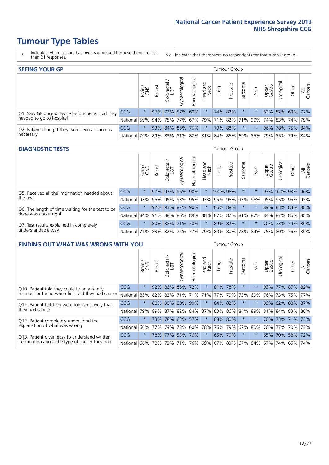### **Tumour Type Tables**

- \* Indicates where a score has been suppressed because there are less than 21 responses.
- n.a. Indicates that there were no respondents for that tumour group.

| <b>SEEING YOUR GP</b>                           |            |              |               |                   |                   |                |                  |      | Tumour Group |         |      |                 |                                                     |       |                |
|-------------------------------------------------|------------|--------------|---------------|-------------------|-------------------|----------------|------------------|------|--------------|---------|------|-----------------|-----------------------------------------------------|-------|----------------|
|                                                 |            | Brain<br>CNS | <b>Breast</b> | Colorectal<br>LGT | ত<br>Gynaecologic | Haematological | Head and<br>Neck | Lung | Prostate     | Sarcoma | Skin | Upper<br>Gastro | Jrological                                          | Other | All<br>Cancers |
| Q1. Saw GP once or twice before being told they | <b>CCG</b> | $\star$      |               |                   | 97% 73% 57% 60%   |                | $\star$          |      | 74% 82%      |         |      |                 | 82% 82% 69% 77%                                     |       |                |
| needed to go to hospital                        | National   | 59%          |               |                   |                   |                |                  |      |              |         |      |                 | 94% 75% 77% 67% 79% 71% 82% 71% 90% 74% 83% 74% 79% |       |                |
| Q2. Patient thought they were seen as soon as   | <b>CCG</b> | $\star$      |               |                   | 93% 84% 85% 76%   |                | $\star$          |      | 79% 88%      | $\star$ |      |                 | 96% 78% 75% 84%                                     |       |                |
| necessary                                       | National   | 79%          |               |                   |                   |                |                  |      |              |         |      |                 | 89% 83% 81% 82% 81% 84% 86% 69% 85% 79% 85% 79%     |       | 84%            |

#### **DIAGNOSTIC TESTS** Tumour Group

|                                                   |                                                                  | Brain   | <b>Breast</b> | olorectal<br>LGT<br>Ü | Gynaecological | Haematological | Head and<br>Neck | Lung     | Prostate | Sarcoma  | Skin | Upper<br>Gastro | Irological       | Other | All<br>Cancers |
|---------------------------------------------------|------------------------------------------------------------------|---------|---------------|-----------------------|----------------|----------------|------------------|----------|----------|----------|------|-----------------|------------------|-------|----------------|
| Q5. Received all the information needed about     | <b>CCG</b>                                                       | $\star$ |               | 97% 97%               | 96%            | $90\%$         | $\star$          | 100% 95% |          | $^\star$ |      |                 | 93% 100% 93% 96% |       |                |
| the test                                          | National                                                         | 93%     | 95%           | 95%                   | 93%            |                | 95% 93% 95% 95%  |          |          | 93%      | 96%  | 95%             | 95% 95% 95%      |       |                |
| Q6. The length of time waiting for the test to be | <b>CCG</b>                                                       | $\star$ |               | $92\%$ 93%            | 82%            | 90%            | $\star$          | 86% 88%  |          | $\star$  |      |                 | 89% 83% 83% 88%  |       |                |
| done was about right                              | National 84% 91% 88% 86% 89% 88% 87% 87% 81% 87% 84% 87% 86% 88% |         |               |                       |                |                |                  |          |          |          |      |                 |                  |       |                |
| Q7. Test results explained in completely          | <b>CCG</b>                                                       | $\star$ |               | 80% 88% 71% 78%       |                |                | $\star$          | 89% 82%  |          | $\star$  |      |                 | 70% 73% 79% 80%  |       |                |
| understandable way                                | National 71% 83% 82% 77% 77% 79% 80% 80% 78% 84% 75% 80% 76% 80% |         |               |                       |                |                |                  |          |          |          |      |                 |                  |       |                |

| <b>FINDING OUT WHAT WAS WRONG WITH YOU</b>        |            |         |               |                        |                |                         |                     |         | Tumour Group |         |      |                 |            |             |                |
|---------------------------------------------------|------------|---------|---------------|------------------------|----------------|-------------------------|---------------------|---------|--------------|---------|------|-----------------|------------|-------------|----------------|
|                                                   |            | Brain   | <b>Breast</b> | olorectal.<br>LGT<br>Ū | Gynaecological | Haematologica           | Head and<br>Neck    | Lung    | Prostate     | Sarcoma | Skin | Upper<br>Gastro | Urological | Other       | All<br>Cancers |
| Q10. Patient told they could bring a family       | <b>CCG</b> | $\star$ | 92%           | 86%                    | 85%            | 72%                     | $\star$             | 81%     | 78%          | $\star$ |      | 93%             | $77\%$     | 87% 82%     |                |
| member or friend when first told they had cancer  | National   | 85%     | 82%           | 82%                    | 71%            | 71%                     | 71%                 | 77%     | 79%          | 73%     | 69%  | 76%             | 73%        |             | 75% 77%        |
| Q11. Patient felt they were told sensitively that | <b>CCG</b> | $\star$ | 88%           | 90%                    | 80%            | 90%                     | $\ast$              | 84% 82% |              | $\ast$  |      | 89%             | 82%        | 88% 87%     |                |
| they had cancer                                   | National   | 79%     | 89% 87%       |                        |                | 82% 84% 87% 83% 86% 84% |                     |         |              |         | 89%  | 81%             |            |             | 84% 83% 86%    |
| Q12. Patient completely understood the            | <b>CCG</b> | $\star$ | 73%           | 78%                    | 63%            | 57%                     | $\star$             | 88% 80% |              | $\star$ |      | 70%             |            | 73% 71% 73% |                |
| explanation of what was wrong                     | National   | 66%     | 77%           | 79%                    | 73%            | 60%                     | 78%                 | 76% 79% |              | 67%     | 80%  | 70%             | 77%        |             | 70% 73%        |
| Q13. Patient given easy to understand written     | CCG        | $\star$ |               | 78% 77%                | 53%            | 76%                     | $\star$             | 65% 79% |              | $\star$ |      |                 | 65% 70%    |             | 58% 72%        |
| information about the type of cancer they had     | National   | 66%     | 78%           | 73%                    | 71%            |                         | 76% 69% 67% 83% 67% |         |              |         | 84%  | 67%             | 74%        | 65%         | 74%            |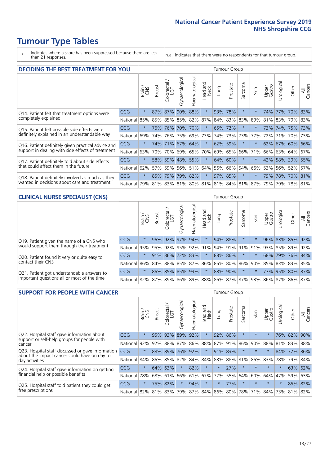### **Tumour Type Tables**

- \* Indicates where a score has been suppressed because there are less than 21 responses.
- n.a. Indicates that there were no respondents for that tumour group.

| <b>DECIDING THE BEST TREATMENT FOR YOU</b>         |            |         |               |                       |                |                |                        |      | <b>Tumour Group</b> |                                     |         |                 |            |                 |                |
|----------------------------------------------------|------------|---------|---------------|-----------------------|----------------|----------------|------------------------|------|---------------------|-------------------------------------|---------|-----------------|------------|-----------------|----------------|
|                                                    |            | Brain   | <b>Breast</b> | olorectal<br>LGT<br>Ũ | Gynaecological | Haematological | ad and<br>Neck<br>Head | Lung | Prostate            | Sarcoma                             | Skin    | Upper<br>Gastro | Jrological | Other           | All<br>Cancers |
| Q14. Patient felt that treatment options were      | CCG        | $\star$ | 87%           | 87%                   | 90%            | 88%            | $\star$                | 93%  | 78%                 | $\star$                             |         | 74%             | 77%        | 70%             | 83%            |
| completely explained                               | National   | 85%     | 85%           | 85%                   |                | 85% 82%        | 87%                    |      | 84% 83%             | 83%                                 | 89%     | 81%             |            | 83% 79% 83%     |                |
| Q15. Patient felt possible side effects were       | <b>CCG</b> | $\star$ | 76%           | 76%                   | 70%            | 70%            | $\star$                |      | 65% 72%             | $^\star$                            |         | 73%             |            | 74% 75% 73%     |                |
| definitely explained in an understandable way      | National   | 69%     | 74%           | 76%                   | 75%            | 69%            | 73%                    |      | 74% 73%             | 73%                                 | 77%     | 72%             | 71%        | 70% 73%         |                |
| Q16. Patient definitely given practical advice and | <b>CCG</b> | $\star$ | 74%           | 71%                   |                | 67% 64%        | $\star$                |      | 62% 59%             | $^\star$                            |         |                 |            | 62% 67% 60% 66% |                |
| support in dealing with side effects of treatment  | National   | 63%     | 70%           | 70%                   |                | 69% 65%        | 70%                    |      | 69% 65%             | 66%                                 | 71%     | 66%             |            | 63% 64%         | 67%            |
| Q17. Patient definitely told about side effects    | <b>CCG</b> | $\star$ | 58%           | 59%                   |                | 48% 55%        | $\star$                |      | 64% 60%             | $\ast$                              | $\star$ | 42%             |            | 58% 39% 55%     |                |
| that could affect them in the future               | National   | 62%     | 57%           | 59%                   |                | 56% 51%        | 64%                    |      | 56% 66%             | 54%                                 | 66%     | 53%             |            | 56% 52%         | 57%            |
| Q18. Patient definitely involved as much as they   | <b>CCG</b> | $\star$ | 85%           | 79%                   |                | 79% 82%        | $\ast$                 |      | 97% 85%             | $\ast$                              | $\star$ | 79%             |            | 78% 70% 81%     |                |
| wanted in decisions about care and treatment       | National   | 79%     |               |                       |                |                |                        |      |                     | 81% 83% 81% 80% 81% 81% 84% 81% 87% |         | 79%             | 79%        | 78% 81%         |                |

#### **CLINICAL NURSE SPECIALIST (CNS)** Tumour Group

|                                             |          | Brain   | <b>Breast</b>           | olorectal<br>LGT<br>$\cup$ | aecologica<br>ĞŘ | $\overline{\sigma}$<br>Ü<br>aematologi | Head and<br>Neck | Lung    | Prostate | Sarcoma  | Skin    | Upper<br>Gastro                             | $\sigma$<br>rologica | Other                                   | All<br>ancers<br>$\cup$ |
|---------------------------------------------|----------|---------|-------------------------|----------------------------|------------------|----------------------------------------|------------------|---------|----------|----------|---------|---------------------------------------------|----------------------|-----------------------------------------|-------------------------|
| Q19. Patient given the name of a CNS who    | CCG      | $\star$ |                         | 96% 92%                    | 97%              | 94%                                    | $^\star$         | 94% 88% |          | $^\star$ |         |                                             |                      | 96% 83% 85% 92%                         |                         |
| would support them through their treatment  | National |         | 95% 95% 92% 95% 92% 91% |                            |                  |                                        |                  |         |          |          |         |                                             |                      | 94%   91%   91%   91%   93%   85%   89% | 92%                     |
| Q20. Patient found it very or quite easy to | CCG      | $\star$ |                         |                            | 91% 86% 72%      | 83%                                    | $\star$          | 88% 86% |          | $\ast$   | $\star$ | 68%                                         |                      | 79% 76% 84%                             |                         |
| contact their CNS                           | National |         |                         |                            |                  |                                        |                  |         |          |          |         | 86% 84% 88% 85% 87% 86% 86% 80% 86% 90% 85% |                      | 83% 83%                                 | 85%                     |
| Q21. Patient got understandable answers to  | CCG      | $\star$ |                         |                            | 86% 85% 85%      | 93%                                    | $\star$          | 88% 90% |          | $\ast$   | $\star$ |                                             | 77% 95%              | 80% 87%                                 |                         |
| important questions all or most of the time | National |         | 82%   87%   89%   86%   |                            |                  |                                        |                  |         |          |          |         |                                             |                      | 89% 88% 86% 87% 87% 93% 86% 87% 86%     | 87%                     |

| <b>SUPPORT FOR PEOPLE WITH CANCER</b>                                                             |            |         |               |            |                |                |                        |             | Tumour Group |                  |         |                 |            |         |                |
|---------------------------------------------------------------------------------------------------|------------|---------|---------------|------------|----------------|----------------|------------------------|-------------|--------------|------------------|---------|-----------------|------------|---------|----------------|
|                                                                                                   |            | Brain   | <b>Breast</b> | Colorectal | Gynaecological | Haematological | ad and<br>Neck<br>Head | <b>Dung</b> | Prostate     | arcoma<br>$\sim$ | Skin    | Upper<br>Gastro | Jrological | Other   | All<br>Cancers |
| Q22. Hospital staff gave information about<br>support or self-help groups for people with         | <b>CCG</b> | $\star$ | 95%           | 93%        | 89%            | 92%            | $\star$                | 92%         | 86%          | $\star$          | $\star$ | $\star$         |            | 76% 82% | 90%            |
| cancer                                                                                            | National   | 92%     | 92%           | 88%        | 87%            | 86%            | 88%                    |             | 87% 91%      | 86%              | 90%     | 88%             | 81%        | 83%     | 88%            |
| Q23. Hospital staff discussed or gave information<br>about the impact cancer could have on day to | CCG        | $\star$ | 88%           | 89%        | 76%            | 92%            | $\star$                | 91%         | 83%          | $\star$          | $\star$ | $\star$         |            | 84% 77% | 86%            |
| day activities                                                                                    | National   | 84%     | 86%           | 85%        | 82%            | 84%            | 84%                    | 83%         | 88%          | 81%              | 86%     | 83%             | 78%        | 79%     | 84%            |
| Q24. Hospital staff gave information on getting                                                   | <b>CCG</b> | $\star$ |               | 64% 63%    | $\star$        | 82%            | $\star$                | $\star$     | 27%          | $\star$          | $\star$ | $\star$         | $^\star$   | 63%     | 62%            |
| financial help or possible benefits                                                               | National   | 78%     |               | 68% 61%    | 66%            | 61%            | 67%                    | 72%         | 55%          | 64%              | 60%     | 64%             | 47%        | 59%     | 63%            |
| Q25. Hospital staff told patient they could get                                                   | <b>CCG</b> | $\star$ |               | 75% 82%    | $\star$        | 94%            | $\star$                | $^\star$    | 77%          | $\star$          | $\star$ | $\star$         | $\star$    |         | 85% 82%        |
| free prescriptions                                                                                | National   | 82%     |               | 81% 83%    | 79%            | 87%            |                        | 84% 86% 80% |              | 78%              | 71%     | 84%             | 73%        | 81%     | 82%            |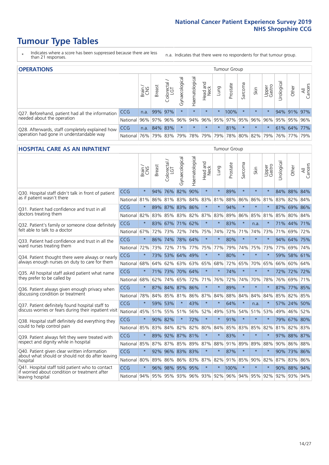### **Tumour Type Tables**

- \* Indicates where a score has been suppressed because there are less than 21 responses.
- n.a. Indicates that there were no respondents for that tumour group.

| <b>OPERATIONS</b>                                                                           |              |                 |               |                   |                                     |                     |                  |          | Tumour Group                                |         |         |                 |            |             |                |  |  |
|---------------------------------------------------------------------------------------------|--------------|-----------------|---------------|-------------------|-------------------------------------|---------------------|------------------|----------|---------------------------------------------|---------|---------|-----------------|------------|-------------|----------------|--|--|
|                                                                                             |              | Brain<br>CNS    | <b>Breast</b> | Colorectal<br>LGT | $\overline{\sigma}$<br>Gynaecologic | Haematological      | Head and<br>Neck | Lung     | Prostate                                    | Sarcoma | Skin    | Upper<br>Gastro | Jrological | Other       | All<br>Cancers |  |  |
| Q27. Beforehand, patient had all the information                                            | CCG          | n.a.            |               | 99% 97%           | $\star$                             | $\star$             | $\star$          | $\star$  | 100%                                        |         | $\star$ | $\star$         |            | 94% 91% 97% |                |  |  |
| needed about the operation                                                                  | National I   | 96% 97% 96% 96% |               |                   |                                     |                     |                  |          | 94% 96% 95% 97% 95% 96% 96% 95% 95% 95% 96% |         |         |                 |            |             |                |  |  |
| Q28. Afterwards, staff completely explained how<br>operation had gone in understandable way | <b>CCG</b>   | n.a.            |               | 84% 83%           | $\star$                             | $\star$             | $\star$          | $^\star$ | 81%                                         |         | $\star$ | $\star$         |            | 61% 64% 77% |                |  |  |
|                                                                                             | National 76% |                 |               |                   |                                     | 79% 83% 79% 78% 79% |                  |          | 79% 78% 80% 82% 79%                         |         |         |                 |            | 76% 77%     | 79%            |  |  |

#### **HOSPITAL CARE AS AN INPATIENT** Tumour Group

|                                                                                                   |              | Brain   | <b>Breast</b> | $\frac{\text{Colored}}{\text{LGT}}$ | Gynaecological | Haematological  | Head and<br>Neck | Lung    | Prostate                                | Sarcoma | Skin    | Upper<br>Gastro | Urological | Other       | Cancers<br>$\overline{\overline{A}}$ |
|---------------------------------------------------------------------------------------------------|--------------|---------|---------------|-------------------------------------|----------------|-----------------|------------------|---------|-----------------------------------------|---------|---------|-----------------|------------|-------------|--------------------------------------|
| Q30. Hospital staff didn't talk in front of patient                                               | CCG          | $\star$ | 94%           | 76%                                 | 82%            | 90%             | $\star$          | $\star$ | 89%                                     | $\star$ | $\star$ | $\star$         |            | 84% 88% 84% |                                      |
| as if patient wasn't there                                                                        | National     | 81%     | 86%           | 81%                                 | 83%            | 84%             | 83%              | 81%     | 88%                                     | 86%     | 86%     | 81%             | 83%        | 82%         | 84%                                  |
| 031. Patient had confidence and trust in all<br>doctors treating them                             | CCG          | $\star$ |               | 89% 87% 83% 86%                     |                |                 | $\star$          | $\star$ | 94%                                     | $\star$ | $\star$ |                 |            | 87% 69% 86% |                                      |
|                                                                                                   | National     | 82%     | 83%           | 85%                                 |                | 83% 82%         |                  | 87% 83% | 89%                                     | 86%     | 85%     | 81%             | 85%        | 80% 84%     |                                      |
| Q32. Patient's family or someone close definitely                                                 | CCG          | $\star$ |               | 83% 67%                             | 71% 62%        |                 | $\star$          | $\star$ | 83%                                     | $\star$ | n.a.    |                 |            | 71% 44%     | 171%                                 |
| felt able to talk to a doctor                                                                     | National     | 67%     | 72%           | 73%                                 | 72%            | 74%             |                  | 75% 74% | 72%                                     | 71%     | 74%     | 73%             | 71%        | 69%         | 72%                                  |
| Q33. Patient had confidence and trust in all the                                                  | CCG          | $\star$ |               | 86% 74%                             | 78% 64%        |                 | $\star$          | $\star$ | 80%                                     | $\star$ | $\star$ | $\star$         |            | 94% 64% 75% |                                      |
| ward nurses treating them                                                                         | National     | 72%     | 73%           | 72%                                 |                | 71% 77% 75% 77% |                  |         | 79%                                     | 74%     | 75%     | 73%             | 77%        | 69% 74%     |                                      |
| Q34. Patient thought there were always or nearly<br>always enough nurses on duty to care for them | CCG          | $\star$ | 73%           | 53% 64%                             |                | 49%             | $\star$          | $\star$ | 80%                                     | $\star$ | $\star$ | $\star$         | 59%        | 58% 61%     |                                      |
|                                                                                                   | National     | 68%     | 64%           | 62%                                 | 63%            | 63%             | 65% 68%          |         | 72%                                     | 65%     | 70%     | 65%             | 66%        | 60% 64%     |                                      |
| Q35. All hospital staff asked patient what name                                                   | CCG          | $\star$ |               | 71% 73%                             | 70% 64%        |                 | $\star$          | $\star$ | 74%                                     | $\star$ | $\star$ |                 |            | 72% 72%     | 72%                                  |
| they prefer to be called by                                                                       | National     | 68%     | 62%           | 74%                                 | 65%            | 72%             |                  | 71% 76% | 72%                                     | 74%     | 70%     | 78%             | 76%        | 69% 71%     |                                      |
| Q36. Patient always given enough privacy when                                                     | CCG          | $\star$ | 87%           | 84%                                 | 87%            | 86%             | $\star$          | $\star$ | 89%                                     | $\star$ | $\star$ | $\star$         | 87%        | 77%         | 85%                                  |
| discussing condition or treatment                                                                 | National     | 78%     | 84%           | 85%                                 | 81%            | 86% 87% 84%     |                  |         | 88%                                     | 84%     | 84%     | 84%             |            | 85% 82% 85% |                                      |
| Q37. Patient definitely found hospital staff to                                                   | CCG          | $\star$ | 59%           | 53%                                 | $\star$        | 43%             | $\star$          | $\star$ | 64%                                     | $\star$ | n.a.    | $\star$         |            | 57% 24%     | 50%                                  |
| discuss worries or fears during their inpatient visit                                             | National     | 45%     |               | 51% 55%                             | 51%            |                 | 56% 52% 49%      |         | 53%                                     | 54%     | 51%     | 53%             |            | 49% 46% 52% |                                      |
| Q38. Hospital staff definitely did everything they                                                | CCG          | $\star$ | 90% 82%       |                                     | $\star$        | 72%             | $\star$          | $\star$ | 91%                                     | $\star$ | $\star$ | $\star$         |            | 79% 67% 80% |                                      |
| could to help control pain                                                                        | National     | 85%     | 83%           | 84%                                 | 82%            | 82%             |                  | 80% 84% | 85%                                     | 83%     | 85%     | 82%             |            | 81% 82% 83% |                                      |
| Q39. Patient always felt they were treated with                                                   | CCG          | $\star$ | 89%           |                                     | 92% 87% 81%    |                 | $\star$          | $\star$ | 83%                                     | $\star$ | $\star$ |                 |            | 97% 88% 87% |                                      |
| respect and dignity while in hospital                                                             | National     | 85%     |               | 87% 87%                             |                | 85% 89% 87% 88% |                  |         | 91%                                     | 89%     | 89%     | 88%             |            | 90% 86% 88% |                                      |
| Q40. Patient given clear written information<br>about what should or should not do after leaving  | CCG          | $\star$ | 92%           | $96\%$                              | 83%            | 83%             | $\star$          | $\star$ | 87%                                     | $\star$ | $\star$ | $\star$         |            | 90% 73%     | 86%                                  |
| hospital                                                                                          | National 80% |         | 89%           | 86%                                 | 86%            | 83%             |                  | 87% 82% |                                         | 91% 85% | 90%     | 82%             | 87%        | 83% 86%     |                                      |
| Q41. Hospital staff told patient who to contact<br>if worried about condition or treatment after  | CCG          | $\star$ | 96%           |                                     | 98% 95% 95%    |                 | $\star$          | $\star$ | 100%                                    | $\star$ | $\star$ | $\star$         |            | 90% 88%     | 94%                                  |
| leaving hospital                                                                                  | National 94% |         |               |                                     |                |                 |                  |         | 95% 95% 93% 96% 93% 92% 96% 94% 95% 92% |         |         |                 |            | 92% 93% 94% |                                      |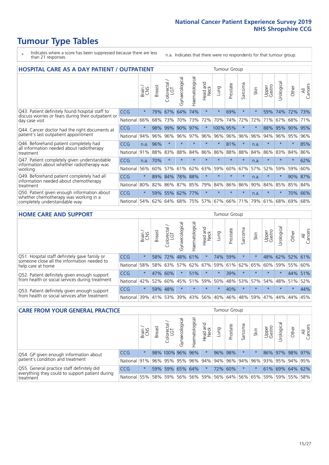## **Tumour Type Tables**

- \* Indicates where a score has been suppressed because there are less than 21 responses.
- n.a. Indicates that there were no respondents for that tumour group.

| <b>HOSPITAL CARE AS A DAY PATIENT / OUTPATIENT</b>                                                                    |            |              |               |                              |                |                |                            |          |          | <b>Tumour Group</b> |      |                 |            |         |                |  |  |  |  |
|-----------------------------------------------------------------------------------------------------------------------|------------|--------------|---------------|------------------------------|----------------|----------------|----------------------------|----------|----------|---------------------|------|-----------------|------------|---------|----------------|--|--|--|--|
|                                                                                                                       |            | Brain<br>CNS | <b>Breast</b> | ╮<br>olorectal /<br>LGT<br>Ũ | Gynaecological | Haematological | and<br><b>Neck</b><br>Head | Lung     | Prostate | Sarcoma             | Skin | Upper<br>Gastro | Urological | Other   | All<br>Cancers |  |  |  |  |
| Q43. Patient definitely found hospital staff to                                                                       | CCG        | $\star$      | 79%           | 67%                          | 64%            | 74%            | $\star$                    | $\star$  | 69%      | $\star$             |      | 59%             | 74%        | 72%     | 73%            |  |  |  |  |
| discuss worries or fears during their outpatient or<br>day case visit                                                 | National   | 66%          | 68%           | 73%                          | 70%            | 73%            | 72%                        | 70%      | 74%      | 72%                 | 72%  | 71%             | 67%        | 68%     | 71%            |  |  |  |  |
| Q44. Cancer doctor had the right documents at<br>patient's last outpatient appointment                                | <b>CCG</b> | $\star$      | 98%           | 99%                          | 90%            | 97%            | $\star$                    | 100% 95% |          | $\star$             |      | 88%             | 95%        | 90%     | 95%            |  |  |  |  |
|                                                                                                                       | National   | 94%          | 96%           | 96%                          | 96%            | 97%            | 96%                        | 96%      | 96%      | 96%                 | 96%  | 94%             | 96%        | 95%     | 96%            |  |  |  |  |
| Q46. Beforehand patient completely had                                                                                | <b>CCG</b> | n.a.         | 96%           | $\star$                      | $\star$        | $\star$        | $\star$                    | $\star$  | 81%      | $\star$             | n.a. | $\star$         | $\star$    | $\ast$  | 85%            |  |  |  |  |
| all information needed about radiotherapy<br>treatment                                                                | National   | 91%          | 88%           | 83%                          | 88%            | 84%            | 86%                        | 86%      | 88%      | 88%                 | 84%  | 86%             | 83%        | 84%     | 86%            |  |  |  |  |
| Q47. Patient completely given understandable                                                                          | CCG        | n.a.         | 70%           | $\star$                      |                |                | $\star$                    | $\star$  | $\star$  | $\star$             | n.a. | $\star$         | $\star$    | $\star$ | 62%            |  |  |  |  |
| information about whether radiotherapy was<br>working                                                                 | National   | 56%          | 60%           | 57%                          | 61%            | 62%            | 63%                        | 59%      | 60%      | 67%                 | 57%  | 52%             | 59%        | 59%     | 60%            |  |  |  |  |
| Q49. Beforehand patient completely had all                                                                            | CCG        | $\star$      | 89%           | 84%                          | 78%            | 88%            | $\star$                    | $\star$  | $\star$  | $\star$             | n.a. |                 | $\star$    | 90% 87% |                |  |  |  |  |
| information needed about chemotherapy<br>treatment                                                                    | National   | 80%          | 82%           | 86%                          | 87%            | 85%            | 79%                        | 84%      | 86%      | 86%                 | 90%  | 84%             | 85%        | 85%     | 84%            |  |  |  |  |
| Q50. Patient given enough information about<br>whether chemotherapy was working in a<br>completely understandable way | CCG        | $\star$      | 59%           | 55%                          | 62%            | 77%            | $\star$                    | $\star$  | $\star$  | $\star$             | n.a. | $\star$         | $\star$    | 70%     | 66%            |  |  |  |  |
|                                                                                                                       | National   | 54%          | 62%           | 64%                          | 68%            | 75%            |                            | 57% 67%  | 66%      | 71%                 | 79%  | 61%             | 68%        | 69%     | 68%            |  |  |  |  |

#### **HOME CARE AND SUPPORT** Tumour Group

|                                                                                                                   |            | Brain   | <b>Breast</b> | Colorectal<br>LGT | $\overline{\sigma}$<br>Gynaecologic | ত<br>Haematologic | ad and<br>Neck<br>Head | Lung    | Prostate | Sarcoma     | Skin    | Upper<br>Gastro | rological | Other   | All<br>Cancers |
|-------------------------------------------------------------------------------------------------------------------|------------|---------|---------------|-------------------|-------------------------------------|-------------------|------------------------|---------|----------|-------------|---------|-----------------|-----------|---------|----------------|
| Q51. Hospital staff definitely gave family or<br>someone close all the information needed to<br>help care at home | <b>CCG</b> | $\star$ | 58%           | 72%               | 48%                                 | 61%               | $\star$                | 74%     | 59%      | $\ast$      |         | 48%             | 62%       | 52%     | 61%            |
|                                                                                                                   | National   | 58%     |               | 58% 63%           | 57%                                 | 62%               |                        | 67% 59% |          | 61% 62% 65% |         | 60%             | 59%       | 55%     | 60%            |
| Q52. Patient definitely given enough support<br>from health or social services during treatment                   | <b>CCG</b> | $\star$ |               | 47% 60%           | $\star$                             | 51%               | $\star$                | $\star$ | 39%      | $\star$     | $\star$ | $\star$         | $\star$   | 44%     | 51%            |
|                                                                                                                   | National   | 42%     | 52%           | 60%               |                                     | 45% 51%           | 59%                    | 50%     | 48%      | 53%         | 57%     | 54%             | 48% 51%   |         | 52%            |
| Q53. Patient definitely given enough support<br>from health or social services after treatment                    | <b>CCG</b> | $\star$ |               | 59% 48%           | $\star$                             | $\star$           | $\star$                | $\star$ | 40%      |             | $\star$ | $\star$         | $\star$   | $\star$ | 44%            |
|                                                                                                                   | National   | 39%     | 41% 53%       |                   | 39%                                 | $ 43\% $          | 56%                    | 40%     | 46%      | 48%         | 59%     | 47%             | 44%       | 44%     | 45%            |

| <b>CARE FROM YOUR GENERAL PRACTICE</b>                                                                     |              |         |               |                        |               |                |                                                         | <b>Tumour Group</b> |          |         |      |                 |                      |                 |                |  |
|------------------------------------------------------------------------------------------------------------|--------------|---------|---------------|------------------------|---------------|----------------|---------------------------------------------------------|---------------------|----------|---------|------|-----------------|----------------------|-----------------|----------------|--|
|                                                                                                            |              | Brain,  | <b>Breast</b> | ╮<br>Colorectal<br>LGT | Gynaecologica | Haematological | Head and<br>Neck                                        | Lung                | Prostate | Sarcoma | Skin | Upper<br>Gastro | $\sigma$<br>Urologic | Other           | All<br>Cancers |  |
| Q54. GP given enough information about                                                                     | CCG          | $\star$ |               | 98% 100% 96% 96%       |               |                | $\star$                                                 |                     | 96% 98%  | $\star$ |      |                 |                      | 86% 97% 98% 97% |                |  |
| patient's condition and treatment                                                                          | National 91% |         |               |                        |               |                | 96% 95% 95% 96% 94% 94% 96% 94% 96% 93% 93% 95% 94% 95% |                     |          |         |      |                 |                      |                 |                |  |
| Q55. General practice staff definitely did<br>everything they could to support patient during<br>treatment | <b>CCG</b>   | $\star$ |               | 59% 59%                |               | 65% 64%        | $\star$                                                 |                     | 72% 60%  | $\star$ |      |                 |                      | 61% 69% 64% 62% |                |  |
|                                                                                                            | National 55% |         |               |                        |               |                | 58% 59% 56% 56% 59% 56% 64% 56% 65% 59% 59% 55% 58%     |                     |          |         |      |                 |                      |                 |                |  |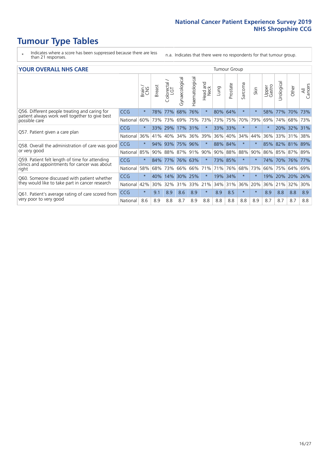### **Tumour Type Tables**

- \* Indicates where a score has been suppressed because there are less than 21 responses.
- n.a. Indicates that there were no respondents for that tumour group.

#### **YOUR OVERALL NHS CARE** THE TWO CONTROLLER THE THE THROUP CHANGE THE TUMOUR GROUP

|                                                                                                                  |            | Brain   | <b>Breast</b> | olorectal<br>LGT<br>Ũ | Gynaecological | Haematological | Head and<br>Neck | Lung | Prostate | Sarcoma | Skin     | Upper<br>Gastro | Urologica | Other | All<br>Cancers |
|------------------------------------------------------------------------------------------------------------------|------------|---------|---------------|-----------------------|----------------|----------------|------------------|------|----------|---------|----------|-----------------|-----------|-------|----------------|
| Q56. Different people treating and caring for<br>patient always work well together to give best<br>possible care | <b>CCG</b> | $\star$ | 78%           | 77%                   | 68%            | 76%            | $\star$          | 80%  | 64%      | $\star$ | $\star$  | 58%             | 77%       | 70%   | 73%            |
|                                                                                                                  | National   | 60%     | 73%           | 73%                   | 69%            | 75%            | 73%              | 73%  | 75%      | 70%     | 79%      | 69%             | 74%       | 68%   | 73%            |
| Q57. Patient given a care plan                                                                                   | <b>CCG</b> | $\star$ | 33%           | 29%                   |                | 17% 31%        | $\star$          |      | 33% 33%  | $\star$ | $^\star$ | $\star$         | 20%       | 32%   | 31%            |
|                                                                                                                  | National   | 36%     | 41%           | 40%                   | 34%            | 36%            | 39%              | 36%  | 40%      | 34%     | 44%      | 36%             | 33%       | 31%   | 38%            |
| Q58. Overall the administration of care was good                                                                 | <b>CCG</b> | $\star$ | 94%           | 93%                   | 75%            | 96%            | $\star$          |      | 88% 84%  | $\star$ | $\star$  | 85%             | 82%       | 81%   | 89%            |
| or very good                                                                                                     | National   | 85%     | 90%           | 88%                   | 87%            | 91%            | 90%              | 90%  | 88%      | 88%     | 90%      |                 | 86% 85%   | 87%   | 89%            |
| Q59. Patient felt length of time for attending<br>clinics and appointments for cancer was about                  | <b>CCG</b> | $\star$ | 84%           | 77%                   | 76% 63%        |                | $\star$          |      | 73% 85%  | $\star$ | $\ast$   | 74%             | 70%       | 76%   | 77%            |
| right                                                                                                            | National   | 58%     | 68%           | 73%                   | 66%            | 66%            | 71%              | 71%  | 76%      | 68%     | 73%      | 66%             | 75%       | 64%   | 69%            |
| Q60. Someone discussed with patient whether                                                                      | <b>CCG</b> | $\star$ | 40%           | 14%                   | 30%            | 25%            | $\star$          | 19%  | 34%      | $\star$ | $\ast$   | 19%             | 20%       | 20%   | 26%            |
| they would like to take part in cancer research                                                                  | National   | 42%     | 30%           | 32%                   | 31%            | 33%            | 21%              | 34%  | 31%      | 36%     | 20%      | 36%             | 21%       | 32%   | 30%            |
| Q61. Patient's average rating of care scored from<br>very poor to very good                                      | <b>CCG</b> | $\star$ | 9.1           | 8.9                   | 8.6            | 8.9            | $\star$          | 8.9  | 8.5      | $\star$ | $\star$  | 8.9             | 8.8       | 8.8   | 8.9            |
|                                                                                                                  | National   | 8.6     | 8.9           | 8.8                   | 8.7            | 8.9            | 8.8              | 8.8  | 8.8      | 8.8     | 8.9      | 8.7             | 8.7       | 8.7   | 8.8            |
|                                                                                                                  |            |         |               |                       |                |                |                  |      |          |         |          |                 |           |       |                |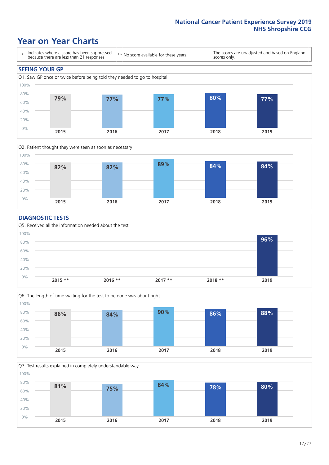### **Year on Year Charts**





#### **DIAGNOSTIC TESTS**





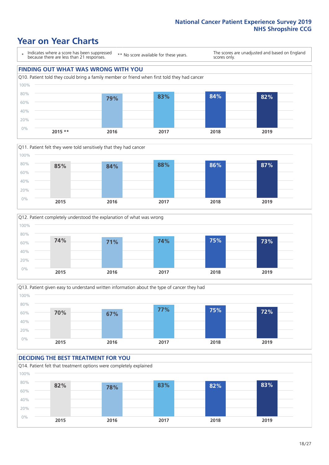







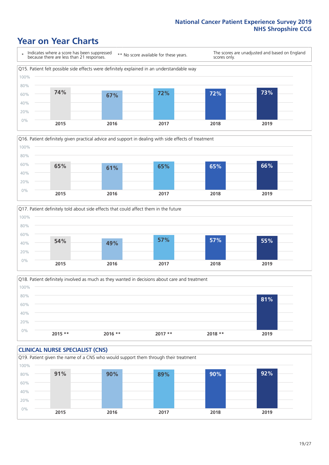





Q18. Patient definitely involved as much as they wanted in decisions about care and treatment  $0%$ 20% 40% 60% 80% 100% **2015 \*\* 2016 \*\* 2017 \*\* 2018 \*\* 2019 81%**

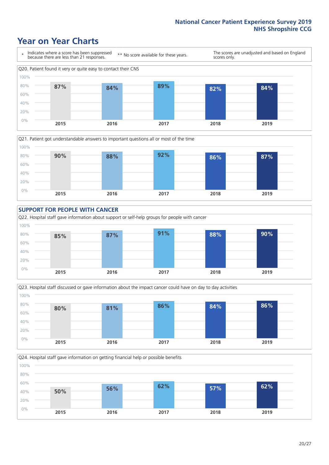







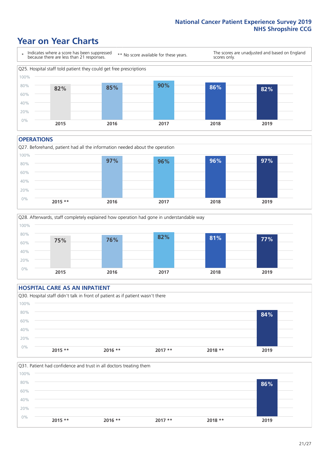### **Year on Year Charts**



#### **OPERATIONS**

Q27. Beforehand, patient had all the information needed about the operation  $0%$ 20% 40% 60% 80% 100% **2015 \*\* 2016 2017 2018 2019 97% 96% 96% 97%**



### **HOSPITAL CARE AS AN INPATIENT** Q30. Hospital staff didn't talk in front of patient as if patient wasn't there 0% 20% 40% 60% 80% 100% **2015 \*\* 2016 \*\* 2017 \*\* 2018 \*\* 2019 84%**

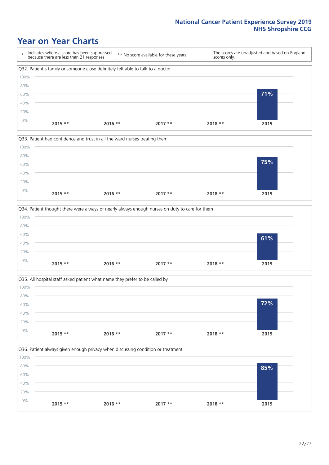







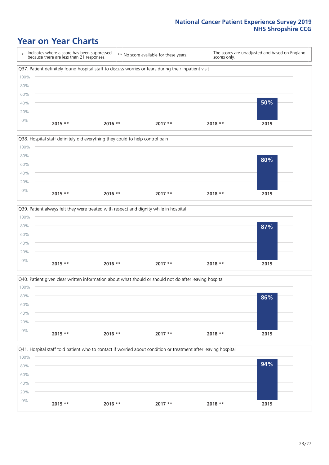### **Year on Year Charts**

\* Indicates where a score has been suppressed because there are less than 21 responses. \*\* No score available for these years. The scores are unadjusted and based on England scores only. Q37. Patient definitely found hospital staff to discuss worries or fears during their inpatient visit 0% 20% 40% 60% 80% 100% **2015 \*\* 2016 \*\* 2017 \*\* 2018 \*\* 2019 50%**







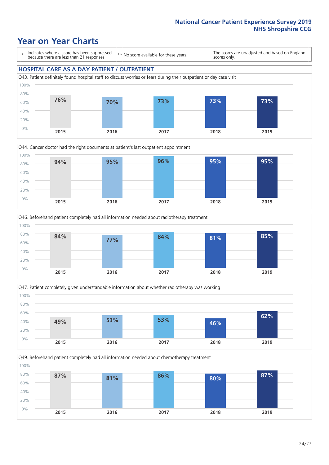### **Year on Year Charts**

\* Indicates where a score has been suppressed because there are less than 21 responses.

\*\* No score available for these years.

The scores are unadjusted and based on England scores only.

#### **HOSPITAL CARE AS A DAY PATIENT / OUTPATIENT**









Q49. Beforehand patient completely had all information needed about chemotherapy treatment

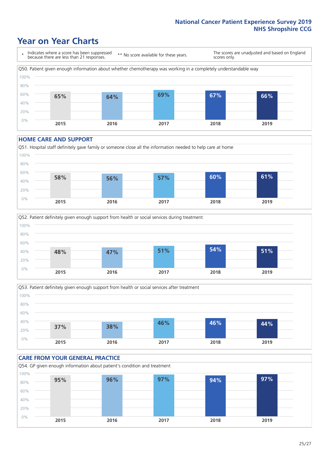### **Year on Year Charts**

\* Indicates where a score has been suppressed because there are less than 21 responses. \*\* No score available for these years. The scores are unadjusted and based on England scores only. Q50. Patient given enough information about whether chemotherapy was working in a completely understandable way 0% 20% 40% 60% 80% 100% **2015 2016 2017 2018 2019 65% 64% 69% 67% 66%**

#### **HOME CARE AND SUPPORT**







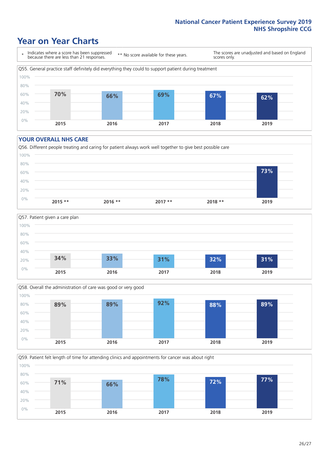### **Year on Year Charts**

\* Indicates where a score has been suppressed because there are less than 21 responses.

\*\* No score available for these years.

The scores are unadjusted and based on England scores only.



#### **YOUR OVERALL NHS CARE**







Q59. Patient felt length of time for attending clinics and appointments for cancer was about right